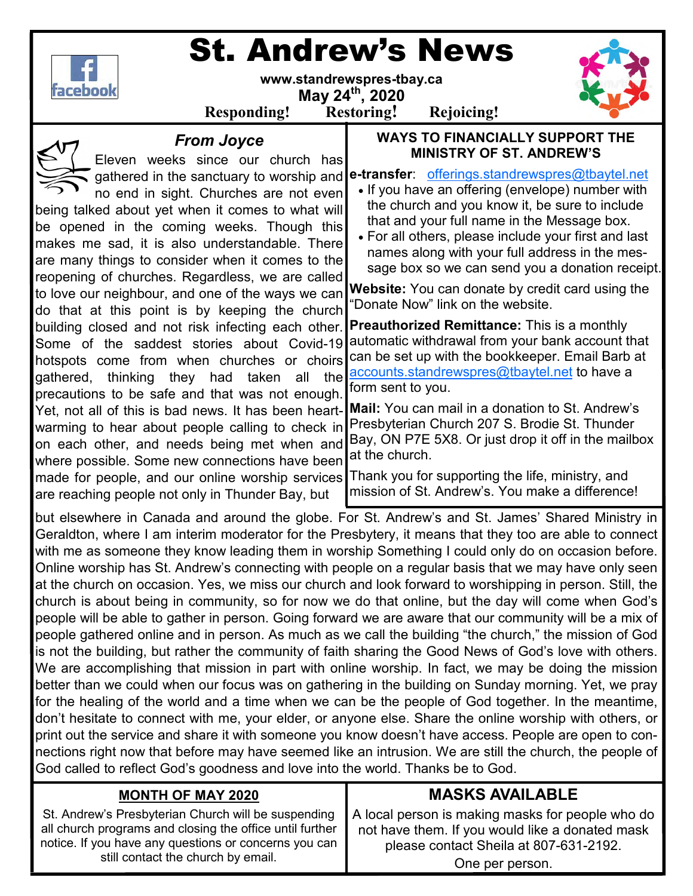

# St. Andrew's News

**www.standrewspres-tbay.ca** 

**May 24th, 2020** 



**Responding! Restoring! Rejoicing!**

| nesponumg.                                                                                                                                                                                                                                                                                                                                                                                                                                                                                                                                                                                                                                                                                                                                                                                                                                                                                                                                                                                                                                                                              | <b>Restorme</b> .<br><b>IVALUATE</b> .                                                                                                                                                                                                                                                                                                                                                                                                                                                                                                                                                                                                                                                                                                                                                                                                                                                                                                                                                                                                                          |
|-----------------------------------------------------------------------------------------------------------------------------------------------------------------------------------------------------------------------------------------------------------------------------------------------------------------------------------------------------------------------------------------------------------------------------------------------------------------------------------------------------------------------------------------------------------------------------------------------------------------------------------------------------------------------------------------------------------------------------------------------------------------------------------------------------------------------------------------------------------------------------------------------------------------------------------------------------------------------------------------------------------------------------------------------------------------------------------------|-----------------------------------------------------------------------------------------------------------------------------------------------------------------------------------------------------------------------------------------------------------------------------------------------------------------------------------------------------------------------------------------------------------------------------------------------------------------------------------------------------------------------------------------------------------------------------------------------------------------------------------------------------------------------------------------------------------------------------------------------------------------------------------------------------------------------------------------------------------------------------------------------------------------------------------------------------------------------------------------------------------------------------------------------------------------|
| <b>From Joyce</b><br>Eleven weeks since our church has<br>gathered in the sanctuary to worship and<br>no end in sight. Churches are not even<br>being talked about yet when it comes to what will<br>be opened in the coming weeks. Though this<br>makes me sad, it is also understandable. There<br>are many things to consider when it comes to the<br>reopening of churches. Regardless, we are called<br>to love our neighbour, and one of the ways we can<br>do that at this point is by keeping the church<br>building closed and not risk infecting each other.<br>Some of the saddest stories about Covid-19<br>hotspots come from when churches or choirs<br>gathered, thinking they had taken all the<br>precautions to be safe and that was not enough.<br>Yet, not all of this is bad news. It has been heart-<br>warming to hear about people calling to check in<br>on each other, and needs being met when and<br>where possible. Some new connections have been<br>made for people, and our online worship services<br>are reaching people not only in Thunder Bay, but | <b>WAYS TO FINANCIALLY SUPPORT THE</b><br><b>MINISTRY OF ST. ANDREW'S</b><br>e-transfer: offerings.standrewspres@tbaytel.net<br>• If you have an offering (envelope) number with<br>the church and you know it, be sure to include<br>that and your full name in the Message box.<br>• For all others, please include your first and last<br>names along with your full address in the mes-<br>sage box so we can send you a donation receipt.<br>Website: You can donate by credit card using the<br>"Donate Now" link on the website.<br><b>Preauthorized Remittance:</b> This is a monthly<br>automatic withdrawal from your bank account that<br>can be set up with the bookkeeper. Email Barb at<br>accounts.standrewspres@tbaytel.net to have a<br>form sent to you.<br>Mail: You can mail in a donation to St. Andrew's<br>Presbyterian Church 207 S. Brodie St. Thunder<br>Bay, ON P7E 5X8. Or just drop it off in the mailbox<br>at the church.<br>Thank you for supporting the life, ministry, and<br>mission of St. Andrew's. You make a difference! |
| but elsewhere in Canada and around the globe. For St. Andrew's and St. James' Shared Ministry in<br>Geraldton, where I am interim moderator for the Presbytery, it means that they too are able to connect<br>with me as someone they know leading them in worship Something I could only do on occasion before.<br>Online worship has St. Andrew's connecting with people on a regular basis that we may have only seen<br>at the church on occasion. Yes, we miss our church and look forward to worshipping in person. Still, the<br>church is about being in community, so for now we do that online, but the day will come when God's<br>as de la della de la detta de la processa Coins formadous de questo de la de la computación de la desde de la                                                                                                                                                                                                                                                                                                                             |                                                                                                                                                                                                                                                                                                                                                                                                                                                                                                                                                                                                                                                                                                                                                                                                                                                                                                                                                                                                                                                                 |

people will be able to gather in person. Going forward we are aware that our community will be a mix of people gathered online and in person. As much as we call the building "the church," the mission of God is not the building, but rather the community of faith sharing the Good News of God's love with others. We are accomplishing that mission in part with online worship. In fact, we may be doing the mission better than we could when our focus was on gathering in the building on Sunday morning. Yet, we pray for the healing of the world and a time when we can be the people of God together. In the meantime, don't hesitate to connect with me, your elder, or anyone else. Share the online worship with others, or print out the service and share it with someone you know doesn't have access. People are open to connections right now that before may have seemed like an intrusion. We are still the church, the people of God called to reflect God's goodness and love into the world. Thanks be to God.

#### **MONTH OF MAY 2020**

St. Andrew's Presbyterian Church will be suspending all church programs and closing the office until further notice. If you have any questions or concerns you can still contact the church by email.

### **MASKS AVAILABLE**

A local person is making masks for people who do not have them. If you would like a donated mask please contact Sheila at 807-631-2192.

One per person.